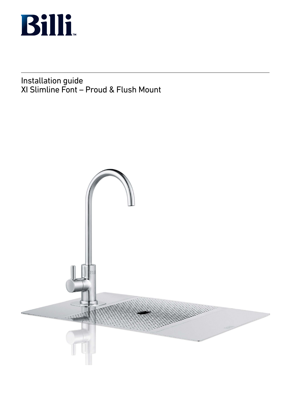

Installation guide XI Slimline Font – Proud & Flush Mount

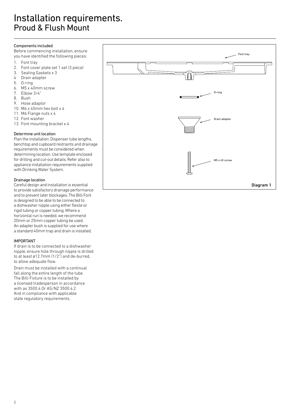# Installation requirements. Proud & Flush Mount

#### Components included

Before commencing installation, ensure you have identified the following pieces:

- 1. Font tray
- 2. Font cover plate set 1 set (3 piece)
- 3. Sealing Gaskets x 3
- 4 Drain adapter
- 5. O-ring
- 6. M5 x 40mm screw
- 7. Elbow 3/4"
- 8. Bush
- 9. Hose adaptor
- 10. M6 x 45mm hex bolt x 4
- 11. M6 Flange nuts x 4
- 12. Font washer
- 13. Font mounting bracket x 4

#### Determine unit location

Plan the installation. Dispenser tube lengths, benchtop and cupboard restraints and drainage requirements must be considered when determining location. Use template enclosed for drilling and cut-out details. Refer also to appliance installation requirements supplied with Drinking Water System.

#### Drainage location

Careful design and installation is essential to provide satisfactory drainage performance and to prevent later blockages. The Billi Font is designed to be able to be connected to a dishwasher nipple using either flexile or rigid tubing or copper tubing. Where a horizontal run is needed, we recommend 20mm or 25mm copper tubing be used. An adapter bush is supplied for use where a standard 40mm trap and drain is installed.

#### IMPORTANT

If drain is to be connected to a dishwasher nipple, ensure hole through nipple is drilled to at least ø12.7mm (1/2") and de-burred, to allow adequate flow.

Drain must be installed with a continual fall along the entire length of the tube. The Billi Fixture is to be installed by a licensed tradesperson in accordance with as 3500.4 Or AS/NZ 3500.4.2 And in compliance with applicable state regulatory requirements.

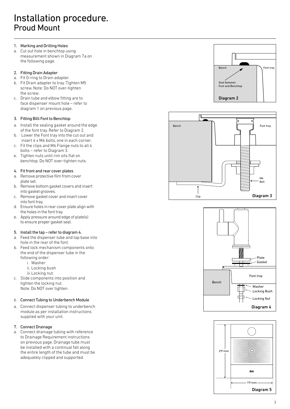# Installation procedure. Proud Mount

#### 1. Marking and Drilling Holes

a. Cut out hole in benchtop using measurement shown in Diagram 7a on the following page.

#### 2. Fitting Drain Adapter

- a. Fit O-ring to Drain adapter.
- b. Fit Drain adapter to tray. Tighten M5 screw, Note: Do NOT over-tighten the screw.
- c. Drain tube and elbow fitting are to face dispenser mount hole – refer to diagram 1 on previous page.

#### 3. Fitting Billi Font to Benchtop

- a. Install the sealing gasket around the edge of the font tray. Refer to Diagram 2.
- b. Lower the Font tray into the cut out and insert 4 x M6 bolts, one in each corner.
- c. Fit the clips and M6 Flange nuts to all 4 bolts – refer to Diagram 3.
- e. Tighten nuts until rim sits flat on benchtop. Do NOT over-tighten nuts.

#### 4. Fit front and rear cover plates

- a. Remove protective film from cover plate set.
- b. Remove bottom gasket covers and insert into gasket grooves.
- c. Remove gasket cover and insert cover into font tray.
- d. Ensure holes in rear cover plate align with the holes in the font tray.
- e. Apply pressure around edge of plate(s) to ensure proper gasket seal.

#### 5. Install the tap – refer to diagram 4.

- a. Feed the dispenser tube and tap base into hole in the rear of the font.
- b. Feed lock mechanism components onto the end of the dispenser tube in the following order:

i. Washer

- 
- ii. Locking bush iii.Locking nut.
- c. Slide components into position and tighten the locking nut. Note: Do NOT over tighten.

#### 6. Connect Tubing to Underbench Module

a. Connect dispenser tubing to underbench module as per installation instructions supplied with your unit.

#### 7. Connect Drainage

a. Connect drainage tubing with reference to Drainage Requirement instructions on previous page. Drainage tube must be installed with a continual fall along the entire length of the tube and must be adequately clipped and supported.







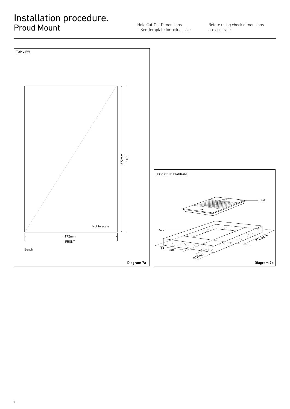## Installation procedure. Proud Mount

Hole Cut-Out Dimensions – See Template for actual size, Before using check dimensions are accurate.

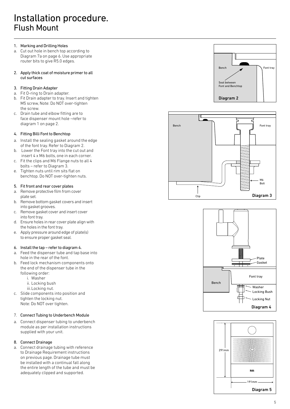# Installation procedure. Flush Mount

#### 1. Marking and Drilling Holes

- a. Cut out hole in bench top according to Diagram 7a on page 6. Use appropriate router bits to give R5.0 edges.
- 2. Apply thick coat of moisture primer to all cut surfaces

#### 3. Fitting Drain Adapter

- a. Fit O-ring to Drain adapter.
- b. Fit Drain adapter to tray. Insert and tighten M5 screw, Note: Do NOT over-tighten the screw.
- c. Drain tube and elbow fitting are to face dispenser mount hole –refer to diagram 1 on page 2.

### 4. Fitting Billi Font to Benchtop

- a. Install the sealing gasket around the edge of the font tray. Refer to Diagram 2.
- b. Lower the Font tray into the cut out and insert 4 x M6 bolts, one in each corner.
- c. Fit the clips and M6 Flange nuts to all 4 bolts – refer to Diagram 3.
- e. Tighten nuts until rim sits flat on benchtop. Do NOT over-tighten nuts.

### 5. Fit front and rear cover plates

- a. Remove protective film from cover plate set.
- b. Remove bottom gasket covers and insert into gasket grooves.
- c. Remove gasket cover and insert cover into font tray.
- d. Ensure holes in rear cover plate align with the holes in the font tray.
- e. Apply pressure around edge of plate(s) to ensure proper gasket seal.

#### 6. Install the tap – refer to diagram 4.

- a. Feed the dispenser tube and tap base into hole in the rear of the font.
- b. Feed lock mechanism components onto the end of the dispenser tube in the following order:
	- i. Washer
	- ii. Locking bush
	- iii.Locking nut.
- c. Slide components into position and tighten the locking nut. Note: Do NOT over tighten.

### 7. Connect Tubing to Underbench Module

a. Connect dispenser tubing to underbench module as per installation instructions supplied with your unit.

#### 8. Connect Drainage

a. Connect drainage tubing with reference to Drainage Requirement instructions on previous page. Drainage tube must be installed with a continual fall along the entire length of the tube and must be adequately clipped and supported.







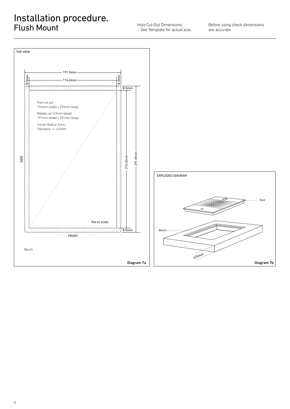## Installation procedure. Flush Mount The Cut-Out Dimensions<br>  $\overline{F}$  Flush Mount Apple 2011 Mole Cut-Out Dimensions

– See Template for actual size,

Before using check dimensions are accurate.